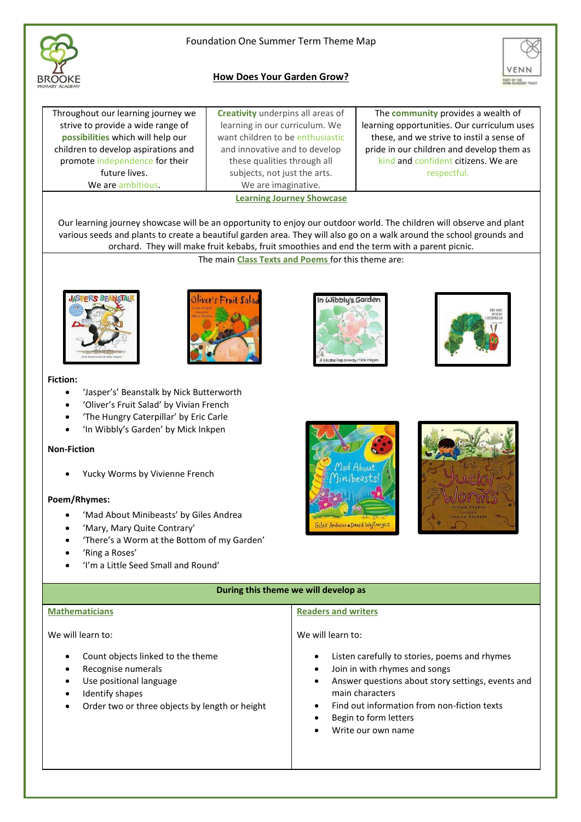

# **How Does Your Garden Grow?**



Throughout our learning journey we strive to provide a wide range of **possibilities** which will help our children to develop aspirations and promote independence for their future lives. We are ambitious.

**Creativity** underpins all areas of learning in our curriculum. We want children to be enthusiastic and innovative and to develop these qualities through all subjects, not just the arts. We are imaginative.

The **community** provides a wealth of learning opportunities. Our curriculum uses these, and we strive to instil a sense of pride in our children and develop them as kind and confident citizens. We are respectful.

**Learning Journey Showcase** 

Our learning journey showcase will be an opportunity to enjoy our outdoor world. The children will observe and plant various seeds and plants to create a beautiful garden area. They will also go on a walk around the school grounds and orchard. They will make fruit kebabs, fruit smoothies and end the term with a parent picnic.

The main **Class Texts and Poems** for this theme are:





## **Fiction:**

- 'Jasper's' Beanstalk by Nick Butterworth
- 'Oliver's Fruit Salad' by Vivian French
- 'The Hungry Caterpillar' by Eric Carle
- 'In Wibbly's Garden' by Mick Inkpen

## **Non-Fiction**

• Yucky Worms by Vivienne French

## **Poem/Rhymes:**

- 'Mad About Minibeasts' by Giles Andrea
- 'Mary, Mary Quite Contrary'
- 'There's a Worm at the Bottom of my Garden'
- 'Ring a Roses'
- 'I'm a Little Seed Small and Round'



in Wibblu's Garden



### **During this theme we will develop as**

### **Mathematicians**

We will learn to:

- Count objects linked to the theme
- Recognise numerals
- Use positional language
- Identify shapes
- Order two or three objects by length or height

### **Readers and writers**

We will learn to:

- Listen carefully to stories, poems and rhymes
- Join in with rhymes and songs
- Answer questions about story settings, events and main characters
- Find out information from non-fiction texts
- Begin to form letters
- Write our own name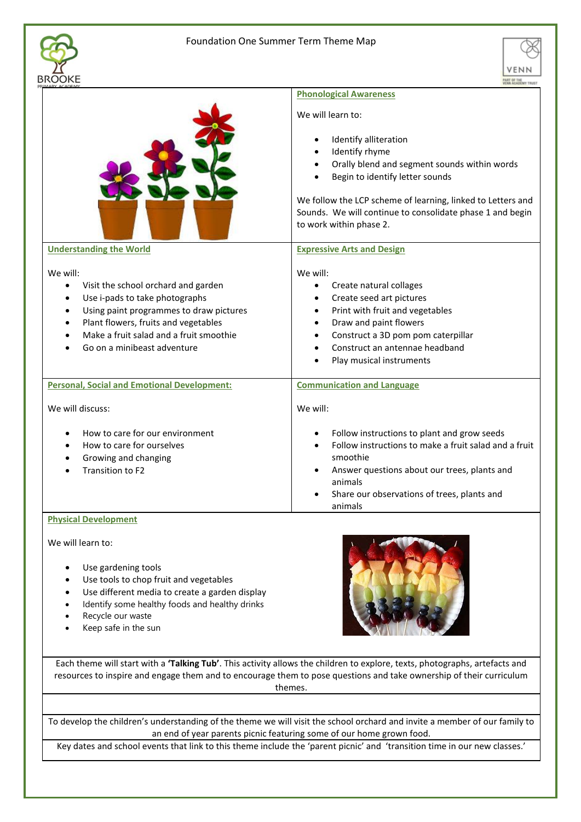|                                          |                                                                                                                                                                                                                                    | Foundation One Summer Term Theme Map                                                                                                                                                                                                                                                                   |
|------------------------------------------|------------------------------------------------------------------------------------------------------------------------------------------------------------------------------------------------------------------------------------|--------------------------------------------------------------------------------------------------------------------------------------------------------------------------------------------------------------------------------------------------------------------------------------------------------|
|                                          |                                                                                                                                                                                                                                    | <b>Phonological Awareness</b>                                                                                                                                                                                                                                                                          |
|                                          |                                                                                                                                                                                                                                    | We will learn to:<br>Identify alliteration<br>Identify rhyme<br>Orally blend and segment sounds within words<br>Begin to identify letter sounds<br>We follow the LCP scheme of learning, linked to Letters and<br>Sounds. We will continue to consolidate phase 1 and begin<br>to work within phase 2. |
| <b>Understanding the World</b>           |                                                                                                                                                                                                                                    | <b>Expressive Arts and Design</b>                                                                                                                                                                                                                                                                      |
| We will:                                 | Visit the school orchard and garden<br>Use i-pads to take photographs<br>Using paint programmes to draw pictures<br>Plant flowers, fruits and vegetables<br>Make a fruit salad and a fruit smoothie<br>Go on a minibeast adventure | We will:<br>Create natural collages<br>Create seed art pictures<br>Print with fruit and vegetables<br>Draw and paint flowers<br>Construct a 3D pom pom caterpillar<br>Construct an antennae headband<br>Play musical instruments                                                                       |
|                                          | <b>Personal, Social and Emotional Development:</b>                                                                                                                                                                                 | <b>Communication and Language</b>                                                                                                                                                                                                                                                                      |
| We will discuss:                         |                                                                                                                                                                                                                                    | We will:                                                                                                                                                                                                                                                                                               |
| Growing and changing<br>Transition to F2 | How to care for our environment<br>How to care for ourselves                                                                                                                                                                       | Follow instructions to plant and grow seeds<br>Follow instructions to make a fruit salad and a fruit<br>smoothie<br>Answer questions about our trees, plants and<br>animals<br>Share our observations of trees, plants and<br>animals                                                                  |
| <b>Physical Development</b>              |                                                                                                                                                                                                                                    |                                                                                                                                                                                                                                                                                                        |
| We will learn to:<br>Use gardening tools |                                                                                                                                                                                                                                    |                                                                                                                                                                                                                                                                                                        |

- Use tools to chop fruit and vegetables
- Use different media to create a garden display
- Identify some healthy foods and healthy drinks
- Recycle our waste
- Keep safe in the sun



Each theme will start with a **'Talking Tub'**. This activity allows the children to explore, texts, photographs, artefacts and resources to inspire and engage them and to encourage them to pose questions and take ownership of their curriculum themes.

To develop the children's understanding of the theme we will visit the school orchard and invite a member of our family to an end of year parents picnic featuring some of our home grown food.

Key dates and school events that link to this theme include the 'parent picnic' and 'transition time in our new classes.'